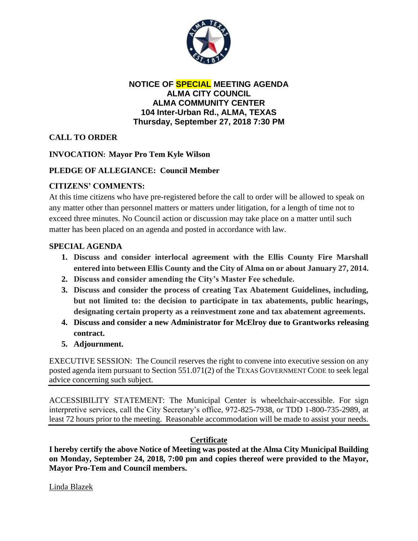

**NOTICE OF SPECIAL MEETING AGENDA ALMA CITY COUNCIL ALMA COMMUNITY CENTER 104 Inter-Urban Rd., ALMA, TEXAS Thursday, September 27, 2018 7:30 PM**

# **CALL TO ORDER**

# **INVOCATION: Mayor Pro Tem Kyle Wilson**

# **PLEDGE OF ALLEGIANCE: Council Member**

# **CITIZENS' COMMENTS:**

At this time citizens who have pre-registered before the call to order will be allowed to speak on any matter other than personnel matters or matters under litigation, for a length of time not to exceed three minutes. No Council action or discussion may take place on a matter until such matter has been placed on an agenda and posted in accordance with law.

### **SPECIAL AGENDA**

- **1. Discuss and consider interlocal agreement with the Ellis County Fire Marshall entered into between Ellis County and the City of Alma on or about January 27, 2014.**
- **2. Discuss and consider amending the City's Master Fee schedule.**
- **3. Discuss and consider the process of creating Tax Abatement Guidelines, including, but not limited to: the decision to participate in tax abatements, public hearings, designating certain property as a reinvestment zone and tax abatement agreements.**
- **4. Discuss and consider a new Administrator for McElroy due to Grantworks releasing contract.**
- **5. Adjournment.**

EXECUTIVE SESSION: The Council reserves the right to convene into executive session on any posted agenda item pursuant to Section 551.071(2) of the TEXAS GOVERNMENT CODE to seek legal advice concerning such subject.

ACCESSIBILITY STATEMENT: The Municipal Center is wheelchair-accessible. For sign interpretive services, call the City Secretary's office, 972-825-7938, or TDD 1-800-735-2989, at least 72 hours prior to the meeting. Reasonable accommodation will be made to assist your needs.

### **Certificate**

**I hereby certify the above Notice of Meeting was posted at the Alma City Municipal Building on Monday, September 24, 2018, 7:00 pm and copies thereof were provided to the Mayor, Mayor Pro-Tem and Council members.**

Linda Blazek